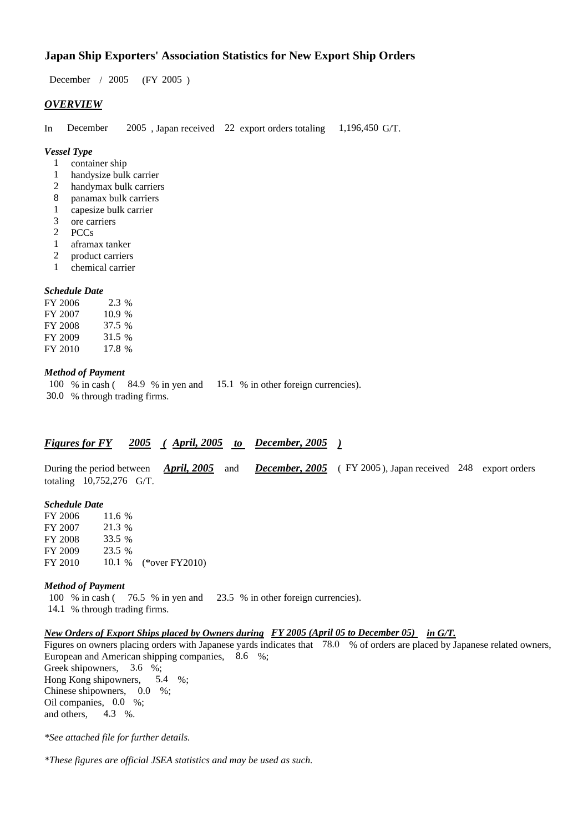## **Japan Ship Exporters' Association Statistics for New Export Ship Orders**

December / 2005 (FY 2005 )

#### *OVERVIEW*

In December 2005 , Japan received 22 export orders totaling 1,196,450 G/T.

#### *Vessel Type*

- 1 container ship
- 1 handysize bulk carrier
- 2 handymax bulk carriers
- 8 panamax bulk carriers
- 1 capesize bulk carrier
- 3 ore carriers
- 2 PCCs
- 1 aframax tanker
- 2 product carriers
- 1 chemical carrier

#### *Schedule Date*

| FY 2006 | $2.3\%$ |
|---------|---------|
| FY 2007 | 10.9%   |
| FY 2008 | 37.5 %  |
| FY 2009 | 31.5 %  |
| FY 2010 | 17.8 %  |

#### *Method of Payment*

100 % in cash ( 84.9 % in yen and 15.1 % in other foreign currencies). 30.0 % through trading firms.

#### *Figures for FY 2005 ( April, 2005 to December, 2005 )*

During the period between *April, 2005* and *December, 2005* ( FY 2005 ), Japan received 248 export orders totaling 10,752,276 G/T.

#### *Schedule Date*

FY 2006 11.6 % FY 2007 21.3 % FY 2008 33.5 % FY 2009 23.5 % FY 2010 10.1 % (\*over FY2010)

#### *Method of Payment*

100 % in cash ( 76.5 % in yen and 23.5 % in other foreign currencies). 14.1 % through trading firms.

### *New Orders of Export Ships placed by Owners during FY 2005 (April 05 to December 05) in G/T.*

Figures on owners placing orders with Japanese yards indicates that 78.0 % of orders are placed by Japanese related owners, European and American shipping companies, 8.6 %;

Greek shipowners, 3.6 %; Hong Kong shipowners, 5.4 %; Chinese shipowners, 0.0 %; Oil companies, 0.0 %; and others, 4.3 %.

*\*See attached file for further details.*

*\*These figures are official JSEA statistics and may be used as such.*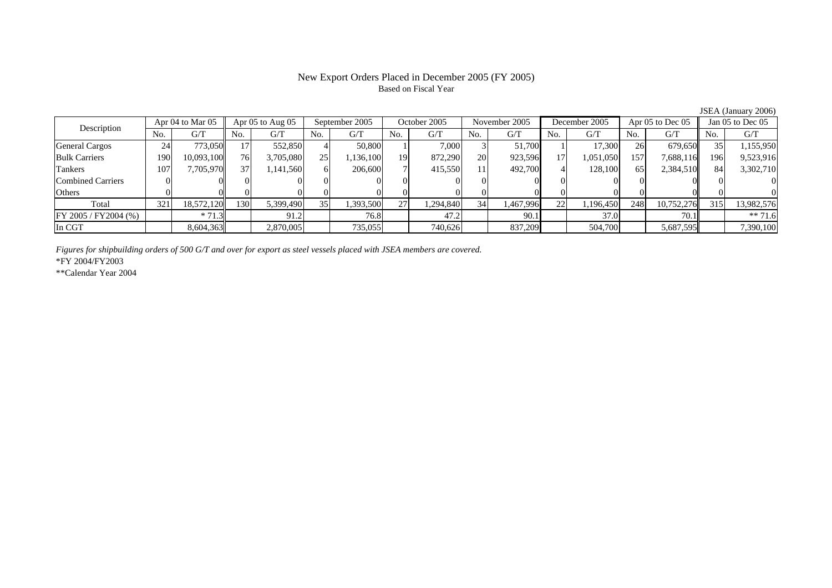# Based on Fiscal Year

Description Apr 04 to Mar 05 Apr 05 to Aug 05 September 2005 October 2005 November 2005 December 2005 Apr 05 to Dec 05 Jan 05 to Dec 05<br>No. 1 G/T No. 1 G/T No. 1 G/T No. 1 G/T No. 1 G/T No. 1 G/T No. 1 G/T No. 1 G/T No. 1  $No.$   $G/T$ T || No. | G/T || No. | G/T || No. | G/T || No. | G/T || G/T || No. | G/T || No. | G/T || No. | G/T General Cargos ( 24 773,050 17 552,850 4 50,800 1 7,000 3 51,700 1 17,300 26 679,650 35 1,155,950 Bulk Carriers 1900| 10,093,100|| 76| 3,705,080| 25| 1,136,100| 19| 872,290| 20| 923,596| 17| 1,051,050| 157| 7,688,116|| 196| 9,523,916 Tankers 1077| 7,705,970|| 37| 1,141,560| 6| 206,600| 7| 415,550| 11| 492,700| 4| 128,100| 65| 2,384,510|| 84| 3,302,710 Combined Carriers 1 0 0 0 0 0 0 0 0 0 0 0 0 0 0 0 0 **Others** s and  $\vert 0$  0 0 0 0 0 0 0 0 0 0 0 0 0 0 0 Total 3211| 18,572,120|| 130| 5,399,490| 35| 1,393,500| 27| 1,294,840| 34| 1,467,996| 22| 1,196,450| 248| 10,752,276|| 315| 13,982,576 FY 2005 / FY2004 (%) \* 71.3 91.2 76.8 47.2 90.1 37.0 70.1 \*\* 71.6 In CGT8,604,363 2,870,005 735,055 740,626 837,209 504,700 5,687,595 7,390,100

*Figures for shipbuilding orders of 500 G/T and over for export as steel vessels placed with JSEA members are covered.*

\*FY 2004/FY2003

\*\*Calendar Year 2004

JSEA (January 2006)

# New Export Orders Placed in December 2005 (FY 2005)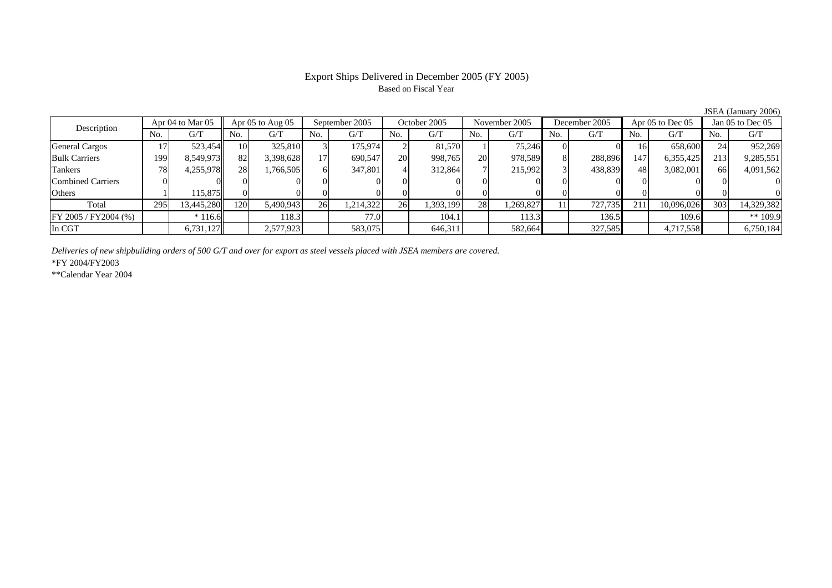### Export Ships Delivered in December 2005 (FY 2005) Based on Fiscal Year

|                          |     | Apr $04$ to Mar $05$ |     | Apr $05$ to Aug $05$ |     | September 2005 |     | October 2005 |           | November 2005 |     | December 2005 |     | Apr 05 to Dec 05 |      | Jan $05$ to Dec $05$ |
|--------------------------|-----|----------------------|-----|----------------------|-----|----------------|-----|--------------|-----------|---------------|-----|---------------|-----|------------------|------|----------------------|
| Description              | No. | G/T                  | No. | G/T                  | No. | G/T            | No. | G/T          | No.       | G/T           | No. | G/T           | No. | G/T              | No.  | G/T                  |
| General Cargos           |     | 523.454              | 10  | 325,810              |     | 175,974        |     | 81.570       |           | 75.246        |     |               | 16  | 658,600          |      | 952,269              |
| <b>Bulk Carriers</b>     | 99  | 8,549,973            | 82  | 3,398,628            |     | 690.547        | 20  | 998,765      | <b>20</b> | 978.589       |     | 288,896       | 147 | 6,355,425        | 213  | 9,285,551            |
| Tankers                  | 78  | 4,255,978            | 28  | 1,766,505            |     | 347.801        |     | 312,864      |           | 215.992       |     | 438,839       | 48  | 3,082,001        | -661 | 4,091,562            |
| <b>Combined Carriers</b> |     |                      |     |                      |     |                |     |              |           |               |     |               |     |                  |      |                      |
| Others                   |     | 115,875              |     |                      |     |                |     |              |           |               |     |               |     |                  |      |                      |
| Total                    | 295 | 13,445,280           | 120 | 5,490,943            | 26  | 1,214,322      | 26  | 1,393,199    | 28        | 1,269,827     |     | 727,735       | 211 | 10,096,026       | 303  | 14,329,382           |
| FY 2005 / FY2004 (%)     |     | $*116.6$             |     | 118.3                |     | 77.0           |     | 104.1        |           | 113.3         |     | 136.5         |     | 109.6            |      | ** $109.9$           |
| In CGT                   |     | 6,731,127            |     | 2,577,923            |     | 583,075        |     | 646,311      |           | 582,664       |     | 327,585       |     | 4,717,558        |      | 6,750,184            |
|                          |     |                      |     |                      |     |                |     |              |           |               |     |               |     |                  |      |                      |

*Deliveries of new shipbuilding orders of 500 G/T and over for export as steel vessels placed with JSEA members are covered.*

\*FY 2004/FY2003

\*\*Calendar Year 2004

JSEA (January 2006)